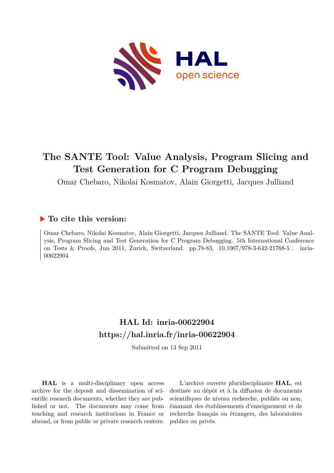

# **The SANTE Tool: Value Analysis, Program Slicing and Test Generation for C Program Debugging**

Omar Chebaro, Nikolai Kosmatov, Alain Giorgetti, Jacques Julliand

# **To cite this version:**

Omar Chebaro, Nikolai Kosmatov, Alain Giorgetti, Jacques Julliand. The SANTE Tool: Value Analysis, Program Slicing and Test Generation for C Program Debugging. 5th International Conference on Tests & Proofs, Jun 2011, Zurich, Switzerland. pp.78-83, 10.1007/978-3-642-21768-5. inria-00622904ff

# **HAL Id: inria-00622904 <https://hal.inria.fr/inria-00622904>**

Submitted on 13 Sep 2011

**HAL** is a multi-disciplinary open access archive for the deposit and dissemination of scientific research documents, whether they are published or not. The documents may come from teaching and research institutions in France or abroad, or from public or private research centers.

L'archive ouverte pluridisciplinaire **HAL**, est destinée au dépôt et à la diffusion de documents scientifiques de niveau recherche, publiés ou non, émanant des établissements d'enseignement et de recherche français ou étrangers, des laboratoires publics ou privés.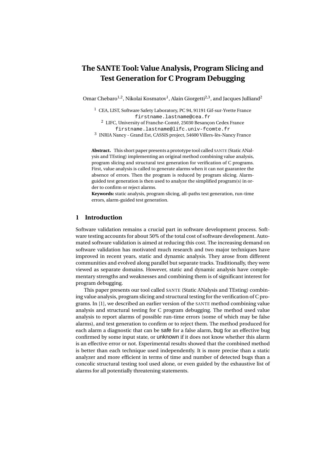# **The SANTE Tool: Value Analysis, Program Slicing and Test Generation for C Program Debugging**

Omar Chebaro $^{1,2}$ , Nikolai Kosmatov $^{1}$ , Alain Giorgetti $^{2,3}$ , and Jacques Julliand $^{2}$ 

<sup>1</sup> CEA, LIST, Software Safety Laboratory, PC 94, 91191 Gif-sur-Yvette France firstname.lastname@cea.fr

<sup>2</sup> LIFC, University of Franche-Comté, 25030 Besançon Cedex France firstname.lastname@lifc.univ-fcomte.fr

<sup>3</sup> INRIA Nancy - Grand Est, CASSIS project, 54600 Villers-lès-Nancy France

**Abstract.** This short paper presents a prototype tool called SANTE (Static ANalysis and TEsting) implementing an original method combining value analysis, program slicing and structural test generation for verification of C programs. First, value analysis is called to generate alarms when it can not guarantee the absence of errors. Then the program is reduced by program slicing. Alarmguided test generation is then used to analyze the simplified program(s) in order to confirm or reject alarms.

**Keywords:** static analysis, program slicing, all-paths test generation, run-time errors, alarm-guided test generation.

# **1 Introduction**

Software validation remains a crucial part in software development process. Software testing accounts for about 50% of the total cost of software development. Automated software validation is aimed at reducing this cost. The increasing demand on software validation has motivated much research and two major techniques have improved in recent years, static and dynamic analysis. They arose from different communities and evolved along parallel but separate tracks. Traditionally, they were viewed as separate domains. However, static and dynamic analysis have complementary strengths and weaknesses and combining them is of significant interest for program debugging.

This paper presents our tool called SANTE (Static ANalysis and TEsting) combining value analysis, program slicing and structural testing for the verification of C programs. In [1], we described an earlier version of the SANTE method combining value analysis and structural testing for C program debugging. The method used value analysis to report alarms of possible run-time errors (some of which may be false alarms), and test generation to confirm or to reject them. The method produced for each alarm a diagnostic that can be safe for a false alarm, bug for an effective bug confirmed by some input state, or unknown if it does not know whether this alarm is an effective error or not. Experimental results showed that the combined method is better than each technique used independently. It is more precise than a static analyzer and more efficient in terms of time and number of detected bugs than a concolic structural testing tool used alone, or even guided by the exhaustive list of alarms for all potentially threatening statements.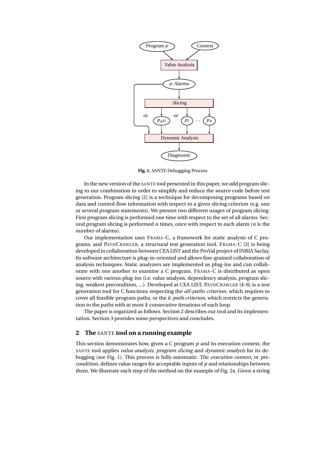

**Fig. 1.** SANTE Debugging Process

In the new version of the SANTE tool presented in this paper, we add program slicing to our combination in order to simplify and reduce the source code before test generation. Program slicing [2] is a technique for decomposing programs based on data and control-flow information with respect to a given slicing criterion (e.g. one or several program statements). We present two different usages of program slicing. First program slicing is performed one time with respect to the set of all alarms. Second program slicing is performed *n* times, once with respect to each alarm (*n* is the number of alarms).

Our implementation uses FRAMA-C, a framework for static analysis of C programs, and PATHCRAWLER, a structural test generation tool. FRAMA-C [3] is being developed in collaboration between CEA LIST and the ProVal project of INRIA Saclay. Its software architecture is plug-in-oriented and allows fine-grained collaboration of analysis techniques. Static analyzers are implemented as plug-ins and can collaborate with one another to examine a C program. FRAMA-C is distributed as open source with various plug-ins (i.e. value analysis, dependency analysis, program slicing, weakest precondition, ...). Developed at CEA LIST, PATHCRAWLER [4–6] is a test generation tool for C functions respecting the *all-paths criterion,* which requires to cover all feasible program paths, or the *k-path criterion,* which restricts the generation to the paths with at most *k* consecutive iterations of each loop.

The paper is organized as follows. Section 2 describes our tool and its implementation. Section 3 provides some perspectives and concludes.

## **2 The** SANTE **tool on a running example**

This section demonstrates how, given a C program *p* and its execution context, the SANTE tool applies *value analysis*, *program slicing* and *dynamic analysis* for its debugging (see Fig. 1). This process is fully-automatic. The *execution context*, or *precondition*, defines value ranges for acceptable inputs of *p* and relationships between them. We illustrate each step of the method on the example of Fig. 2a. Given a string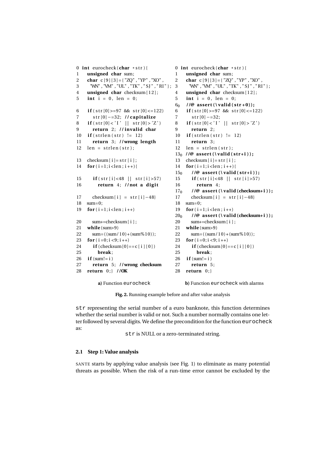```
0 int eurocheck ( char *
s t r ) {
1 unsigned char sum;
2 char c [ 9 ] [ 3 ] = { "ZQ" , "YP" , "XO" ,
3 \qquad \text{ ``W\!N''}\text{ }, ``W\!M''}\text{ }, ``UL''}\text{ }, ``TK''}\text{ }, ``SI''}\text{ }, ``RI''}\text{ }; \text{ } \text{ } 34 unsigned char checksum [12];
5 int i = 0, len = 0;
6 if (\text{str}[0] > = 97 \&\& \text{str}[0] < = 122)7 str [0] -=32; // capitalize
8 if (\text{str}[0] \lt' I' || \text{str}[0] \gt' Z')9 return 2; / / invalid char
10 if (strlen (str) != 12)
11 return 3; / / wrong length
12 len = strlen(str);13 checksum [i] = str [i];
14 for (i = 1; i <len; i + +) {
15 if (str [i]<48 | | str [i]>57)
16 return 4; //not a digit
17 checksum [i] = str[i]-48}
18 sum=0;
19 for (i = 1; i <len; i + +)
20 sum + = checksum [ i ];
21 while (sum>9)
22 sum = ((sum/10) + (sum\%10));23 for (i=0; i < 9; i++)24 if (checksum [0] = = c [ i ] [0])
25 break ;
26 if (sum! = i)27 return 5; / / wrong checksum
28 return 0 ; } / /OK
                                             0 int eurocheck ( char *
s t r ) {
                                            1 unsigned char sum;
                                            2 char c [9] [3] = { "ZQ", "YP", "XO", ""WN" , "WI" , "UL" , "TK" , "SJ " , "RI " } ;
                                            4 unsigned char checksum [12];
                                            5 int i = 0, len = 0;
                                            60 / /@ assert ( \ valid ( s t r + 0 ) ) ;
                                            6 if (\text{str}[0] > = 97 \&\& \text{str}[0] < = 122)7 str[0] = 32;8 if (\text{str}[0] \lt' I' || \text{str}[0] \gt' Z')9 return 2;
                                            10 if (strlen (str) != 12)
                                            11 return 3;
                                            12 len = strlen(str);130 / /@ assert ( \ valid ( s t r+ i ) ) ;
                                            13 checksum [i] = str [i];
                                            14 for (i = 1; i <len; i + +){
                                            150 / /@ assert ( \ valid ( s t r+ i ) ) ;
                                            15 if (str[i]<48 | | str[i]>57)
                                            16 return 4;
                                            17<sub>0</sub> //@ assert (\valid (checksum+i));
                                            17 checksum [i] = str[i]-48}
                                            18 sum=0;
                                            19 for (i = 1; i <len; i + +)
                                            200 / /@ assert ( \ valid (checksum+ i ) ) ;
                                            20 sum+=checksum [i];
                                            21 while (sum>9)
                                            22 sum = ((sum / 10) + (sum \% 10));23 for (i = 0; i < 9; i + 1)
                                            24 if (checksum [0] == c [i] [0])25 break ;
                                            26 if (sum!= i)
                                            27 return 5;
                                            28 return 0;}
```
**a)** Function eurocheck **b)** Function eurocheck with alarms

**Fig. 2.** Running example before and after value analysis

str representing the serial number of a euro banknote, this function determines whether the serial number is valid or not. Such a number normally contains one letter followed by several digits. We define the precondition for the function eurocheck as:

str is NULL or a zero-terminated string.

#### **2.1 Step 1: Value analysis**

SANTE starts by applying value analysis (see Fig. 1) to eliminate as many potential threats as possible. When the risk of a run-time error cannot be excluded by the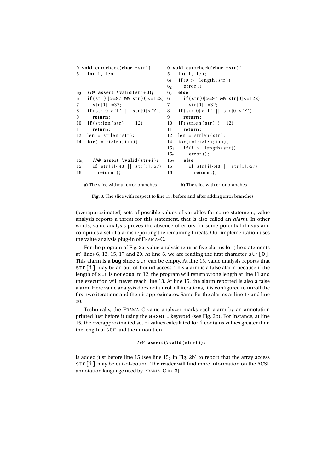```
0 void eurocheck(char *str){
5 int i, len:
60 / /@ assert \ valid ( s t r +0);
6 if \left( \text{str} \left[ 0 \right] \right) = 97 && str \left[ 0 \right] < = 122) 6
7 str[0] = 32;8 if (\text{str}[0] < 'I' | \text{str}[0] > 'Z')9 return ;
10 if (strlen (str) != 12)
11 return ;
12 len = strlen(str);14 for (i = 1; i <len; i + +) {
15<sub>0</sub> //@ assert \valid(str+i);
15 if (str [i]<48 | | str [i]>57)
16 return ; } }
                                          0 void eurocheck(char *str){
                                          5 int i, len;
                                          6<sub>1</sub> if (0 \geq \text{length}(str))6<sub>2</sub> error ();
                                          63 else
                                                 if (\text{str}[0] > = 97 \&\text{str}[0] < = 122)7 str [0] -= 32;
                                          8 if (\text{str}[0] < 'I' | \text{str}[0] > 'Z')9 return ;
                                          10 if (strlen (str) != 12)
                                          11 return ;
                                          12 len = strlen(str);14 for (i = 1; i <len; i + +){
                                          15<sub>1</sub> if (i >= length (str))
                                          15<sub>2</sub> error ();
                                          153 else
                                          15 if (str [i]<48 | | str [i]>57)
                                          16 return ; } }
   a) The slice without error branches b) The slice with error branches
```
**Fig. 3.** The slice with respect to line 15, before and after adding error branches

(overapproximated) sets of possible values of variables for some statement, value analysis reports a threat for this statement, that is also called an *alarm.* In other words, value analysis proves the absence of errors for some potential threats and computes a set of alarms reporting the remaining threats. Our implementation uses the value analysis plug-in of FRAMA-C.

For the program of Fig. 2a, value analysis returns five alarms for (the statements at) lines 6, 13, 15, 17 and 20. At line 6, we are reading the first character  $str[0]$ . This alarm is a bug since str can be empty. At line 13, value analysis reports that str[i] may be an out-of-bound access. This alarm is a false alarm because if the length of str is not equal to 12, the program will return wrong length at line 11 and the execution will never reach line 13. At line 15, the alarm reported is also a false alarm. Here value analysis does not unroll all iterations, it is configured to unroll the first two iterations and then it approximates. Same for the alarms at line 17 and line 20.

Technically, the FRAMA-C value analyzer marks each alarm by an annotation printed just before it using the assert keyword (see Fig. 2b). For instance, at line 15, the overapproximated set of values calculated for i contains values greater than the length of str and the annotation

## **/ /@ assert ( \ valid ( s t r+ i ) ) ;**

is added just before line  $15$  (see line  $15<sub>0</sub>$  in Fig. 2b) to report that the array access str[i] may be out-of-bound. The reader will find more information on the ACSL annotation language used by FRAMA-C in [3].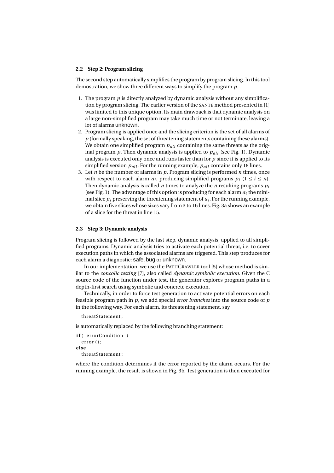#### **2.2 Step 2: Program slicing**

The second step automatically simplifies the program by program slicing. In this tool demostration, we show three different ways to simplify the program *p*.

- 1. The program *p* is directly analyzed by dynamic analysis without any simplification by program slicing. The earlier version of the SANTE method presented in [1] was limited to this unique option. Its main drawback is that dynamic analysis on a large non-simplified program may take much time or not terminate, leaving a lot of alarms unknown.
- 2. Program slicing is applied once and the slicing criterion is the set of all alarms of *p* (formally speaking, the set of threatening statements containing these alarms). We obtain one simplified program  $p_{all}$  containing the same threats as the original program  $p$ . Then dynamic analysis is applied to  $p_{all}$  (see Fig. 1). Dynamic analysis is executed only once and runs faster than for *p* since it is applied to its simplified version  $p_{all}$ . For the running example,  $p_{all}$  contains only 18 lines.
- 3. Let *n* be the number of alarms in *p*. Program slicing is performed *n* times, once with respect to each alarm  $a_i$ , producing simplified programs  $p_i$  ( $1 \le i \le n$ ). Then dynamic analysis is called *n* times to analyze the *n* resulting programs  $p_i$ (see Fig. 1). The advantage of this option is producing for each alarm *a<sup>i</sup>* the minimal slice  $p_i$  preserving the threatening statement of  $a_i$ . For the running example, we obtain five slices whose sizes vary from 3 to 16 lines. Fig. 3a shows an example of a slice for the threat in line 15.

### **2.3 Step 3: Dynamic analysis**

Program slicing is followed by the last step, dynamic analysis, applied to all simplified programs. Dynamic analysis tries to activate each potential threat, i.e. to cover execution paths in which the associated alarms are triggered. This step produces for each alarm a diagnostic: safe, bug or unknown.

In our implementation, we use the PATHCRAWLER tool [5] whose method is similar to the *concolic testing* [7], also called *dynamic symbolic execution.* Given the C source code of the function under test, the generator explores program paths in a depth-first search using symbolic and concrete execution.

Technically, in order to force test generation to activate potential errors on each feasible program path in *p*, we add special *error branches* into the source code of *p* in the following way. For each alarm, its threatening statement, say

```
threatStatement ;
```
is automatically replaced by the following branching statement:

```
if ( errorCondition )
  error();
else
  threatStatement ;
```
where the condition determines if the error reported by the alarm occurs. For the running example, the result is shown in Fig. 3b. Test generation is then executed for